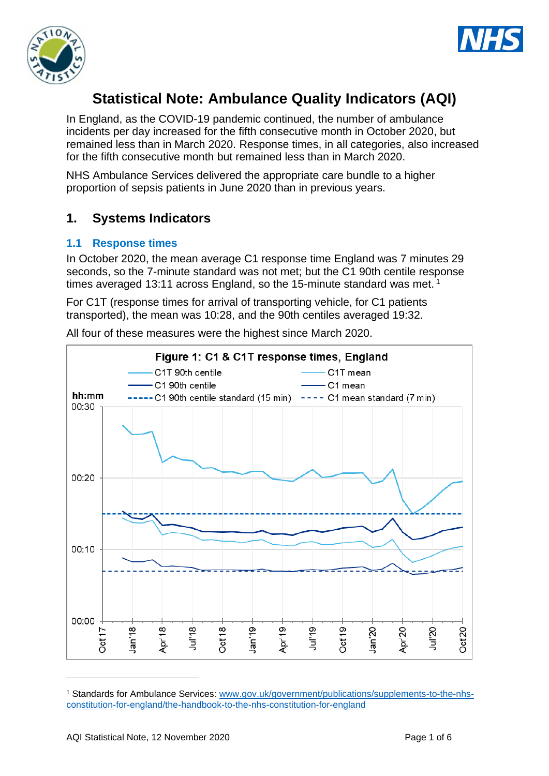



# **Statistical Note: Ambulance Quality Indicators (AQI)**

In England, as the COVID-19 pandemic continued, the number of ambulance incidents per day increased for the fifth consecutive month in October 2020, but remained less than in March 2020. Response times, in all categories, also increased for the fifth consecutive month but remained less than in March 2020.

NHS Ambulance Services delivered the appropriate care bundle to a higher proportion of sepsis patients in June 2020 than in previous years.

# **1. Systems Indicators**

### **1.1 Response times**

In October 2020, the mean average C1 response time England was 7 minutes 29 seconds, so the 7-minute standard was not met; but the C1 90th centile response times averaged 13:11 across England, so the 15-minute standard was met.<sup>1</sup>

For C1T (response times for arrival of transporting vehicle, for C1 patients transported), the mean was 10:28, and the 90th centiles averaged 19:32.



All four of these measures were the highest since March 2020.

<sup>1</sup> Standards for Ambulance Services: www.gov.uk/government/publications/supplements-to-the-nhsconstitution-for-england/the-handbook-to-the-nhs-constitution-for-england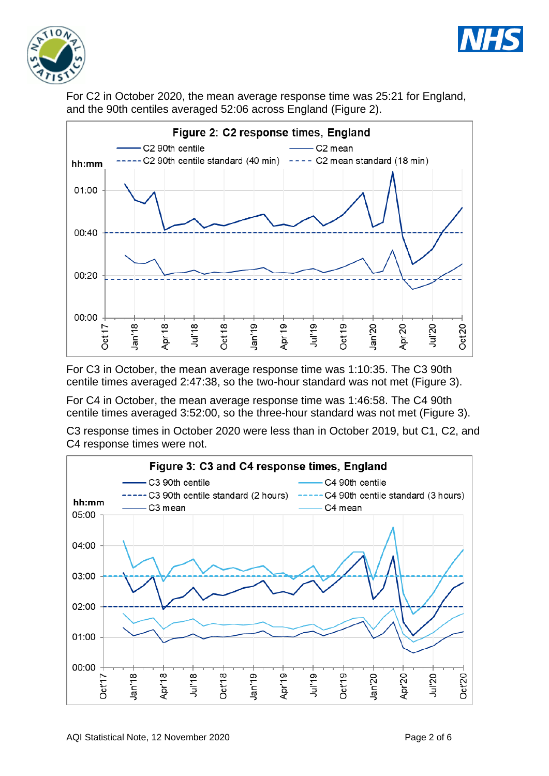



For C2 in October 2020, the mean average response time was 25:21 for England, and the 90th centiles averaged 52:06 across England (Figure 2).



For C3 in October, the mean average response time was 1:10:35. The C3 90th centile times averaged 2:47:38, so the two-hour standard was not met (Figure 3).

For C4 in October, the mean average response time was 1:46:58. The C4 90th centile times averaged 3:52:00, so the three-hour standard was not met (Figure 3).

C3 response times in October 2020 were less than in October 2019, but C1, C2, and C4 response times were not.

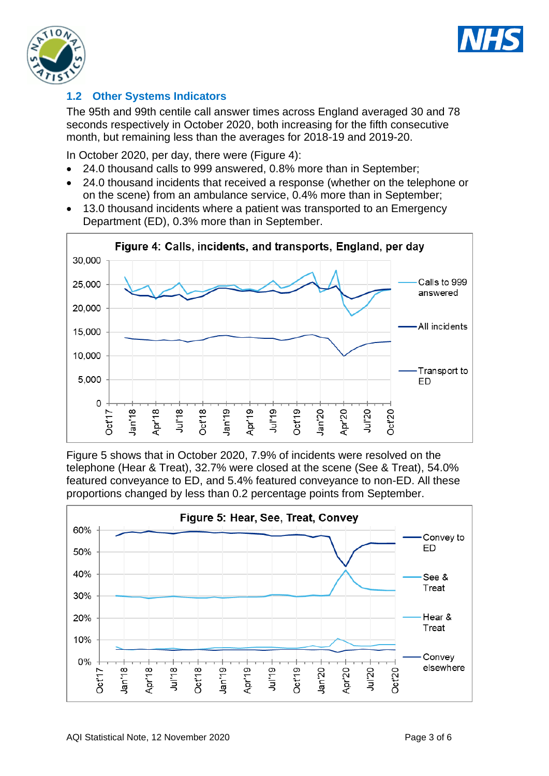



## **1.2 Other Systems Indicators**

The 95th and 99th centile call answer times across England averaged 30 and 78 seconds respectively in October 2020, both increasing for the fifth consecutive month, but remaining less than the averages for 2018-19 and 2019-20.

In October 2020, per day, there were (Figure 4):

- 24.0 thousand calls to 999 answered, 0.8% more than in September;
- 24.0 thousand incidents that received a response (whether on the telephone or on the scene) from an ambulance service, 0.4% more than in September;
- 13.0 thousand incidents where a patient was transported to an Emergency Department (ED), 0.3% more than in September.



Figure 5 shows that in October 2020, 7.9% of incidents were resolved on the telephone (Hear & Treat), 32.7% were closed at the scene (See & Treat), 54.0% featured conveyance to ED, and 5.4% featured conveyance to non-ED. All these proportions changed by less than 0.2 percentage points from September.

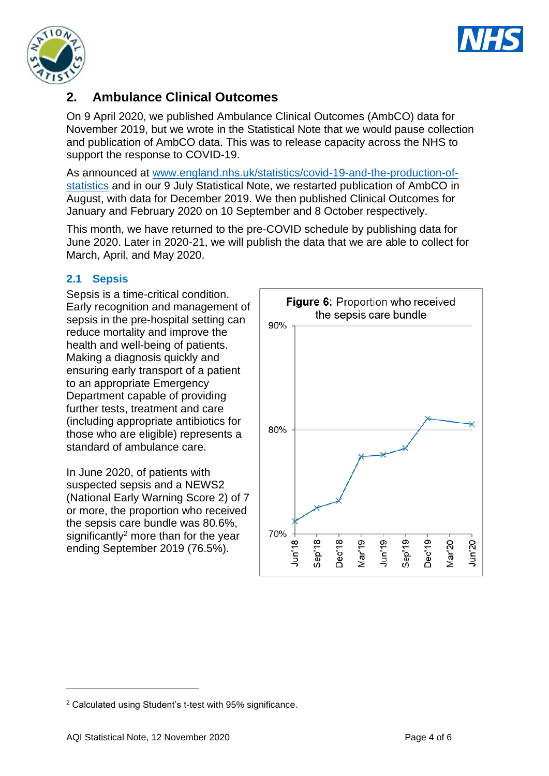



# **2. Ambulance Clinical Outcomes**

On 9 April 2020, we published Ambulance Clinical Outcomes (AmbCO) data for November 2019, but we wrote in the Statistical Note that we would pause collection and publication of AmbCO data. This was to release capacity across the NHS to support the response to COVID-19.

As announced at [www.england.nhs.uk/statistics/covid-19-and-the-production-of](https://www.england.nhs.uk/statistics/covid-19-and-the-production-of-statistics/)[statistics](https://www.england.nhs.uk/statistics/covid-19-and-the-production-of-statistics/) and in our 9 July Statistical Note, we restarted publication of AmbCO in August, with data for December 2019. We then published Clinical Outcomes for January and February 2020 on 10 September and 8 October respectively.

This month, we have returned to the pre-COVID schedule by publishing data for June 2020. Later in 2020-21, we will publish the data that we are able to collect for March, April, and May 2020.

### **2.1 Sepsis**

Sepsis is a time-critical condition. Early recognition and management of sepsis in the pre-hospital setting can reduce mortality and improve the health and well-being of patients. Making a diagnosis quickly and ensuring early transport of a patient to an appropriate Emergency Department capable of providing further tests, treatment and care (including appropriate antibiotics for those who are eligible) represents a standard of ambulance care.

In June 2020, of patients with suspected sepsis and a NEWS2 (National Early Warning Score 2) of 7 or more, the proportion who received the sepsis care bundle was 80.6%, significantly<sup>2</sup> more than for the year ending September 2019 (76.5%).



<sup>2</sup> Calculated using Student's t-test with 95% significance.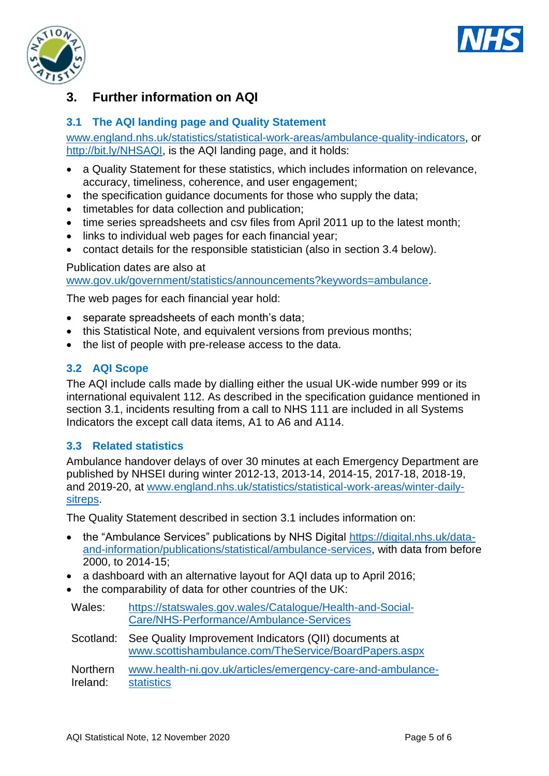



# **3. Further information on AQI**

### **3.1 The AQI landing page and Quality Statement**

[www.england.nhs.uk/statistics/statistical-work-areas/ambulance-quality-indicators,](http://www.england.nhs.uk/statistics/statistical-work-areas/ambulance-quality-indicators) or [http://bit.ly/NHSAQI,](http://bit.ly/NHSAQI) is the AQI landing page, and it holds:

- a Quality Statement for these statistics, which includes information on relevance, accuracy, timeliness, coherence, and user engagement;
- the specification guidance documents for those who supply the data;
- timetables for data collection and publication;
- time series spreadsheets and csv files from April 2011 up to the latest month;
- links to individual web pages for each financial year;
- contact details for the responsible statistician (also in section 3.4 below).

#### Publication dates are also at

[www.gov.uk/government/statistics/announcements?keywords=ambulance.](http://www.gov.uk/government/statistics/announcements?keywords=ambulance)

The web pages for each financial year hold:

- separate spreadsheets of each month's data;
- this Statistical Note, and equivalent versions from previous months;
- the list of people with pre-release access to the data.

#### **3.2 AQI Scope**

The AQI include calls made by dialling either the usual UK-wide number 999 or its international equivalent 112. As described in the specification guidance mentioned in section 3.1, incidents resulting from a call to NHS 111 are included in all Systems Indicators the except call data items, A1 to A6 and A114.

#### **3.3 Related statistics**

Ambulance handover delays of over 30 minutes at each Emergency Department are published by NHSEI during winter 2012-13, 2013-14, 2014-15, 2017-18, 2018-19, and 2019-20, at [www.england.nhs.uk/statistics/statistical-work-areas/winter-daily](http://www.england.nhs.uk/statistics/statistical-work-areas/winter-daily-sitreps)[sitreps.](http://www.england.nhs.uk/statistics/statistical-work-areas/winter-daily-sitreps)

The Quality Statement described in section 3.1 includes information on:

- the "Ambulance Services" publications by NHS Digital [https://digital.nhs.uk/data](https://digital.nhs.uk/data-and-information/publications/statistical/ambulance-services)[and-information/publications/statistical/ambulance-services,](https://digital.nhs.uk/data-and-information/publications/statistical/ambulance-services) with data from before 2000, to 2014-15;
- a dashboard with an alternative layout for AQI data up to April 2016;
- the comparability of data for other countries of the UK:

| Wales: | https://statswales.gov.wales/Catalogue/Health-and-Social- |
|--------|-----------------------------------------------------------|
|        | Care/NHS-Performance/Ambulance-Services                   |

Scotland: See Quality Improvement Indicators (QII) documents at [www.scottishambulance.com/TheService/BoardPapers.aspx](http://www.scottishambulance.com/TheService/BoardPapers.aspx)

Northern Ireland: [www.health-ni.gov.uk/articles/emergency-care-and-ambulance](http://www.health-ni.gov.uk/articles/emergency-care-and-ambulance-statistics)[statistics](http://www.health-ni.gov.uk/articles/emergency-care-and-ambulance-statistics)